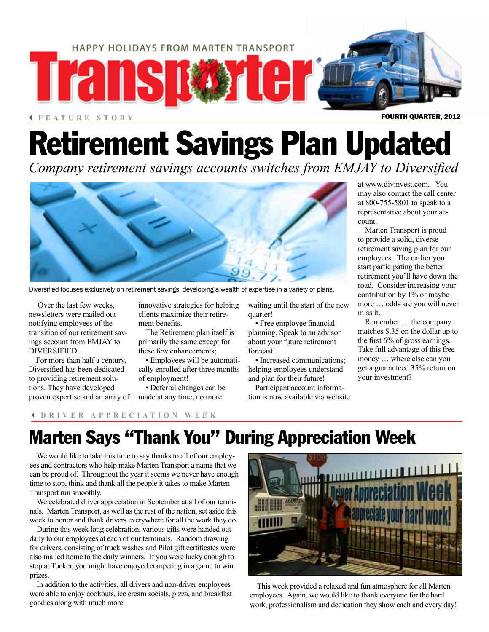

#### 3 **FEATURE STORY**

# Retirement Savings Plan Updated

*Company retirement savings accounts switches from EMJAY to Diversified* 



Diversified focuses exclusively on retirement savings, developing a wealth of expertise in a variety of plans.

Over the last few weeks, newsletters were mailed out notifying employees of the transition of our retirement savings account from EMJAY to DIVERSIFIED.

For more than half a century, Diversified has been dedicated to providing retirement solutions. They have developed proven expertise and an array of made at any time; no more

innovative strategies for helping clients maximize their retirement benefits.

The Retirement plan itself is primarily the same except for these few enhancements;

• Employees will be automatically enrolled after three months of employment!

• Deferral changes can be

waiting until the start of the new quarter!

• Free employee financial planning. Speak to an advisor about your future retirement forecast!

• Increased communications; helping employees understand and plan for their future!

Participant account information is now available via website at www.divinvest.com. You may also contact the call center at 800-755-5801 to speak to a representative about your account.

Marten Transport is proud to provide a solid, diverse retirement saving plan for our employees. The earlier you start participating the better retirement you'll have down the road. Consider increasing your contribution by 1% or maybe more … odds are you will never miss it.

Remember … the company matches \$.35 on the dollar up to the first 6% of gross earnings. Take full advantage of this free money … where else can you get a guaranteed 35% return on your investment?

### 3 **DRIVER APPRECIATION WEEK**

## Marten Says "Thank You" During Appreciation Week

We would like to take this time to say thanks to all of our employees and contractors who help make Marten Transport a name that we can be proud of. Throughout the year it seems we never have enough time to stop, think and thank all the people it takes to make Marten Transport run smoothly.

We celebrated driver appreciation in September at all of our terminals. Marten Transport, as well as the rest of the nation, set aside this week to honor and thank drivers everywhere for all the work they do.

During this week long celebration, various gifts were handed out daily to our employees at each of our terminals. Random drawing for drivers, consisting of truck washes and Pilot gift certificates were also mailed home to the daily winners. If you were lucky enough to stop at Tucker, you might have enjoyed competing in a game to win prizes.

In addition to the activities, all drivers and non-driver employees were able to enjoy cookouts, ice cream socials, pizza, and breakfast goodies along with much more.



This week provided a relaxed and fun atmosphere for all Marten employees. Again, we would like to thank everyone for the hard work, professionalism and dedication they show each and every day!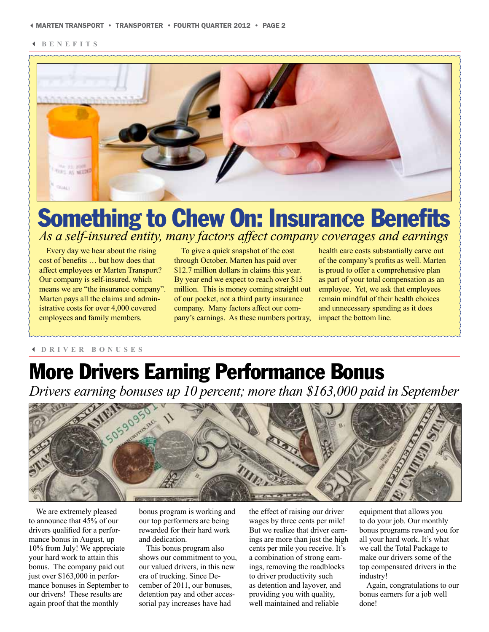3 **BENEFITS**



## Something to Chew On: Insurance Benefits *As a self-insured entity, many factors affect company coverages and earnings*

Every day we hear about the rising cost of benefits … but how does that affect employees or Marten Transport? Our company is self-insured, which means we are "the insurance company". Marten pays all the claims and administrative costs for over 4,000 covered employees and family members.

To give a quick snapshot of the cost through October, Marten has paid over \$12.7 million dollars in claims this year. By year end we expect to reach over \$15 million. This is money coming straight out of our pocket, not a third party insurance company. Many factors affect our company's earnings. As these numbers portray,

health care costs substantially carve out of the company's profits as well. Marten is proud to offer a comprehensive plan as part of your total compensation as an employee. Yet, we ask that employees remain mindful of their health choices and unnecessary spending as it does impact the bottom line.

#### 3 **DRIVER BONUSES**

# More Drivers Earning Performance Bonus

*Drivers earning bonuses up 10 percent; more than \$163,000 paid in September* 



We are extremely pleased to announce that 45% of our drivers qualified for a performance bonus in August, up 10% from July! We appreciate your hard work to attain this bonus. The company paid out just over \$163,000 in performance bonuses in September to our drivers! These results are again proof that the monthly

bonus program is working and our top performers are being rewarded for their hard work and dedication.

This bonus program also shows our commitment to you, our valued drivers, in this new era of trucking. Since December of 2011, our bonuses, detention pay and other accessorial pay increases have had

the effect of raising our driver wages by three cents per mile! But we realize that driver earnings are more than just the high cents per mile you receive. It's a combination of strong earnings, removing the roadblocks to driver productivity such as detention and layover, and providing you with quality, well maintained and reliable

equipment that allows you to do your job. Our monthly bonus programs reward you for all your hard work. It's what we call the Total Package to make our drivers some of the top compensated drivers in the industry!

Again, congratulations to our bonus earners for a job well done!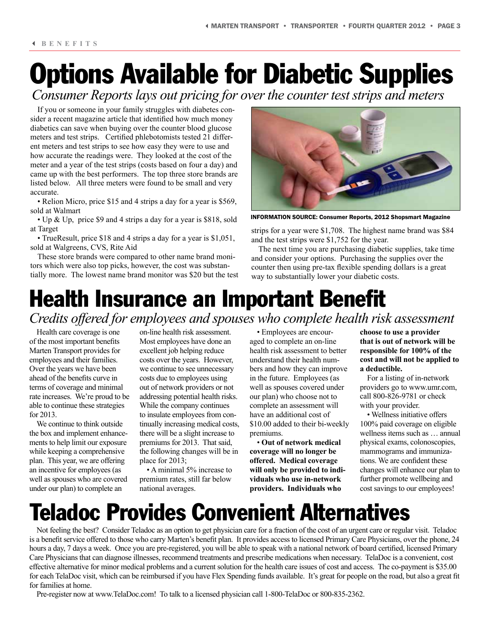# Options Available for Diabetic Supplies

*Consumer Reports lays out pricing for over the counter test strips and meters*

If you or someone in your family struggles with diabetes consider a recent magazine article that identified how much money diabetics can save when buying over the counter blood glucose meters and test strips. Certified phlebotomists tested 21 different meters and test strips to see how easy they were to use and how accurate the readings were. They looked at the cost of the meter and a year of the test strips (costs based on four a day) and came up with the best performers. The top three store brands are listed below. All three meters were found to be small and very accurate.

• Relion Micro, price \$15 and 4 strips a day for a year is \$569, sold at Walmart

• Up & Up, price \$9 and 4 strips a day for a year is \$818, sold at Target

• TrueResult, price \$18 and 4 strips a day for a year is \$1,051, sold at Walgreens, CVS, Rite Aid

These store brands were compared to other name brand monitors which were also top picks, however, the cost was substantially more. The lowest name brand monitor was \$20 but the test



INFORMATION SOURCE: Consumer Reports, 2012 Shopsmart Magazine

strips for a year were \$1,708. The highest name brand was \$84 and the test strips were \$1,752 for the year.

The next time you are purchasing diabetic supplies, take time and consider your options. Purchasing the supplies over the counter then using pre-tax flexible spending dollars is a great way to substantially lower your diabetic costs.

### Health Insurance an Important Benefit *Credits offered for employees and spouses who complete health risk assessment*

Health care coverage is one of the most important benefits Marten Transport provides for employees and their families. Over the years we have been ahead of the benefits curve in terms of coverage and minimal rate increases. We're proud to be able to continue these strategies for 2013.

We continue to think outside the box and implement enhancements to help limit our exposure while keeping a comprehensive plan. This year, we are offering an incentive for employees (as well as spouses who are covered under our plan) to complete an

on-line health risk assessment. Most employees have done an excellent job helping reduce costs over the years. However, we continue to see unnecessary costs due to employees using out of network providers or not addressing potential health risks. While the company continues to insulate employees from continually increasing medical costs, there will be a slight increase to premiums for 2013. That said, the following changes will be in place for 2013;

• A minimal 5% increase to premium rates, still far below national averages.

• Employees are encouraged to complete an on-line health risk assessment to better understand their health numbers and how they can improve in the future. Employees (as well as spouses covered under our plan) who choose not to complete an assessment will have an additional cost of \$10.00 added to their bi-weekly premiums.

• **Out of network medical coverage will no longer be offered. Medical coverage will only be provided to individuals who use in-network providers. Individuals who** 

**choose to use a provider that is out of network will be responsible for 100% of the cost and will not be applied to a deductible.**

For a listing of in-network providers go to www.umr.com, call 800-826-9781 or check with your provider.

• Wellness initiative offers 100% paid coverage on eligible wellness items such as … annual physical exams, colonoscopies, mammograms and immunizations. We are confident these changes will enhance our plan to further promote wellbeing and cost savings to our employees!

# Teladoc Provides Convenient Alternatives

Not feeling the best? Consider Teladoc as an option to get physician care for a fraction of the cost of an urgent care or regular visit. Teladoc is a benefit service offered to those who carry Marten's benefit plan. It provides access to licensed Primary Care Physicians, over the phone, 24 hours a day, 7 days a week. Once you are pre-registered, you will be able to speak with a national network of board certified, licensed Primary Care Physicians that can diagnose illnesses, recommend treatments and prescribe medications when necessary. TelaDoc is a convenient, cost effective alternative for minor medical problems and a current solution for the health care issues of cost and access. The co-payment is \$35.00 for each TelaDoc visit, which can be reimbursed if you have Flex Spending funds available. It's great for people on the road, but also a great fit for families at home.

Pre-register now at www.TelaDoc.com! To talk to a licensed physician call 1-800-TelaDoc or 800-835-2362.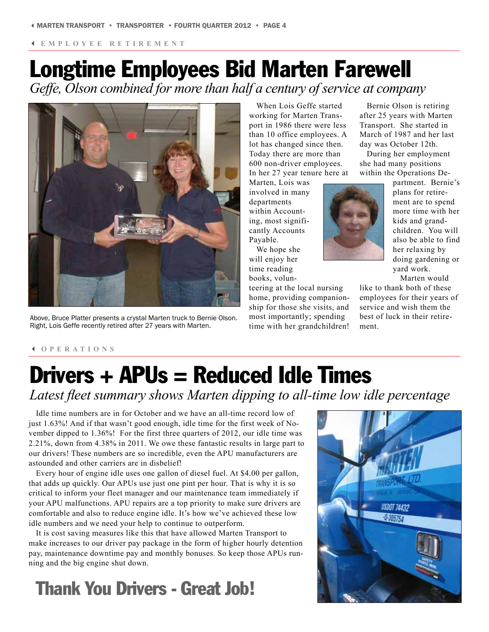3 **EMPLOYEE RETIREMENT**

## Longtime Employees Bid Marten Farewell *Geffe, Olson combined for more than half a century of service at company*

Above, Bruce Platter presents a crystal Marten truck to Bernie Olson. Right, Lois Geffe recently retired after 27 years with Marten.

When Lois Geffe started working for Marten Transport in 1986 there were less than 10 office employees. A lot has changed since then. Today there are more than 600 non-driver employees. In her 27 year tenure here at

Marten, Lois was involved in many departments within Accounting, most significantly Accounts Payable.

We hope she will enjoy her time reading books, volun-

teering at the local nursing home, providing companionship for those she visits, and most importantly; spending time with her grandchildren!

Bernie Olson is retiring after 25 years with Marten Transport. She started in March of 1987 and her last day was October 12th.

During her employment she had many positions within the Operations De-

> partment. Bernie's plans for retirement are to spend more time with her kids and grandchildren. You will also be able to find her relaxing by doing gardening or yard work. Marten would

like to thank both of these employees for their years of service and wish them the best of luck in their retirement.

#### 3 **OPERATIONS**

# Drivers + APUs = Reduced Idle Times

*Latest fleet summary shows Marten dipping to all-time low idle percentage*

Idle time numbers are in for October and we have an all-time record low of just 1.63%! And if that wasn't good enough, idle time for the first week of November dipped to 1.36%! For the first three quarters of 2012, our idle time was 2.21%, down from 4.38% in 2011. We owe these fantastic results in large part to our drivers! These numbers are so incredible, even the APU manufacturers are astounded and other carriers are in disbelief!

Every hour of engine idle uses one gallon of diesel fuel. At \$4.00 per gallon, that adds up quickly. Our APUs use just one pint per hour. That is why it is so critical to inform your fleet manager and our maintenance team immediately if your APU malfunctions. APU repairs are a top priority to make sure drivers are comfortable and also to reduce engine idle. It's how we've achieved these low idle numbers and we need your help to continue to outperform.

It is cost saving measures like this that have allowed Marten Transport to make increases to our driver pay package in the form of higher hourly detention pay, maintenance downtime pay and monthly bonuses. So keep those APUs running and the big engine shut down.

# Thank You Drivers - Great Job!



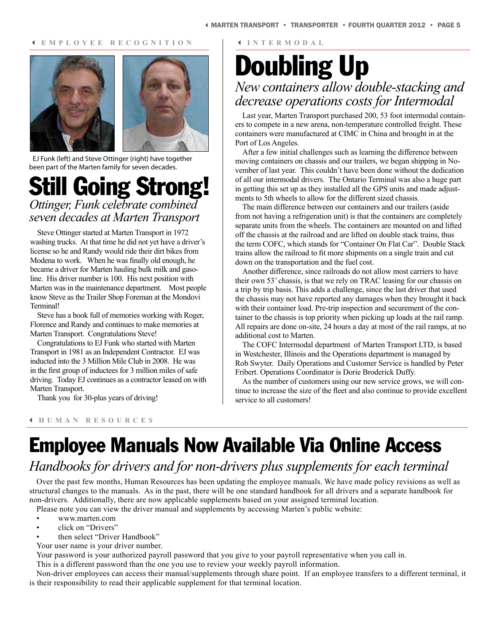#### 3 **E M P L O Y E E R E C O G N I T I O N**



EJ Funk (left) and Steve Ottinger (right) have together been part of the Marten family for seven decades.

### Still Going Strong! *Ottinger, Funk celebrate combined seven decades at Marten Transport*

Steve Ottinger started at Marten Transport in 1972 washing trucks. At that time he did not yet have a driver's license so he and Randy would ride their dirt bikes from Modena to work. When he was finally old enough, he became a driver for Marten hauling bulk milk and gasoline. His driver number is 100. His next position with Marten was in the maintenance department. Most people know Steve as the Trailer Shop Foreman at the Mondovi Terminal!

Steve has a book full of memories working with Roger, Florence and Randy and continues to make memories at Marten Transport. Congratulations Steve!

Congratulations to EJ Funk who started with Marten Transport in 1981 as an Independent Contractor. EJ was inducted into the 3 Million Mile Club in 2008. He was in the first group of inductees for 3 million miles of safe driving. Today EJ continues as a contractor leased on with Marten Transport.

Thank you for 30-plus years of driving!

3 **I N T E R M O D A L** 

## Doubling Up *New containers allow double-stacking and decrease operations costs for Intermodal*

Last year, Marten Transport purchased 200, 53 foot intermodal containers to compete in a new arena, non-temperature controlled freight. These containers were manufactured at CIMC in China and brought in at the Port of Los Angeles.

After a few initial challenges such as learning the difference between moving containers on chassis and our trailers, we began shipping in November of last year. This couldn't have been done without the dedication of all our intermodal drivers. The Ontario Terminal was also a huge part in getting this set up as they installed all the GPS units and made adjustments to 5th wheels to allow for the different sized chassis.

The main difference between our containers and our trailers (aside from not having a refrigeration unit) is that the containers are completely separate units from the wheels. The containers are mounted on and lifted off the chassis at the railroad and are lifted on double stack trains, thus the term COFC, which stands for "Container On Flat Car". Double Stack trains allow the railroad to fit more shipments on a single train and cut down on the transportation and the fuel cost.

Another difference, since railroads do not allow most carriers to have their own 53' chassis, is that we rely on TRAC leasing for our chassis on a trip by trip basis. This adds a challenge, since the last driver that used the chassis may not have reported any damages when they brought it back with their container load. Pre-trip inspection and securement of the container to the chassis is top priority when picking up loads at the rail ramp. All repairs are done on-site, 24 hours a day at most of the rail ramps, at no additional cost to Marten.

The COFC Intermodal department of Marten Transport LTD, is based in Westchester, Illinois and the Operations department is managed by Rob Swyter. Daily Operations and Customer Service is handled by Peter Fribert. Operations Coordinator is Dorie Broderick Duffy.

As the number of customers using our new service grows, we will continue to increase the size of the fleet and also continue to provide excellent service to all customers!

3 **H U M A N R E S O U R C E S** 

# Employee Manuals Now Available Via Online Access

### *Handbooks for drivers and for non-drivers plus supplements for each terminal*

Over the past few months, Human Resources has been updating the employee manuals. We have made policy revisions as well as structural changes to the manuals. As in the past, there will be one standard handbook for all drivers and a separate handbook for non-drivers. Additionally, there are now applicable supplements based on your assigned terminal location.

Please note you can view the driver manual and supplements by accessing Marten's public website:

- www.marten.com
- click on "Drivers"
- then select "Driver Handbook"

Your user name is your driver number.

Your password is your authorized payroll password that you give to your payroll representative when you call in.

This is a different password than the one you use to review your weekly payroll information.

Non-driver employees can access their manual/supplements through share point. If an employee transfers to a different terminal, it is their responsibility to read their applicable supplement for that terminal location.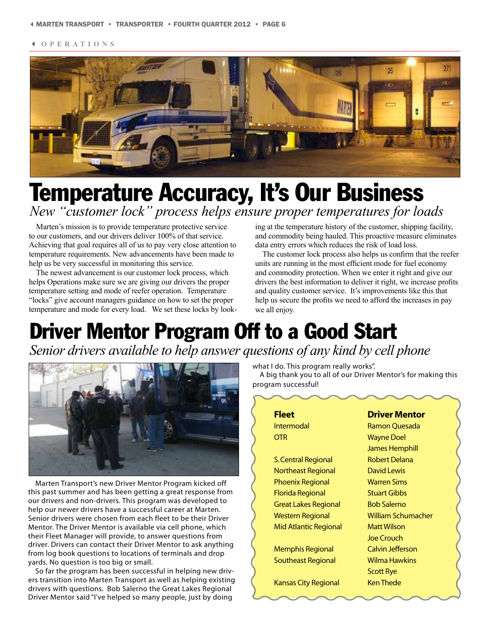3 **OPERATIONS**



# Temperature Accuracy, It's Our Business

*New "customer lock" process helps ensure proper temperatures for loads*

Marten's mission is to provide temperature protective service to our customers, and our drivers deliver 100% of that service. Achieving that goal requires all of us to pay very close attention to temperature requirements. New advancements have been made to help us be very successful in monitoring this service.

The newest advancement is our customer lock process, which helps Operations make sure we are giving our drivers the proper temperature setting and mode of reefer operation. Temperature "locks" give account managers guidance on how to set the proper temperature and mode for every load. We set these locks by looking at the temperature history of the customer, shipping facility, and commodity being hauled. This proactive measure eliminates data entry errors which reduces the risk of load loss.

The customer lock process also helps us confirm that the reefer units are running in the most efficient mode for fuel economy and commodity protection. When we enter it right and give our drivers the best information to deliver it right, we increase profits and quality customer service. It's improvements like this that help us secure the profits we need to afford the increases in pay we all enjoy.

## Driver Mentor Program Off to a Good Start *Senior drivers available to help answer questions of any kind by cell phone*



Marten Transport's new Driver Mentor Program kicked off this past summer and has been getting a great response from our drivers and non-drivers. This program was developed to help our newer drivers have a successful career at Marten. Senior drivers were chosen from each fleet to be their Driver Mentor. The Driver Mentor is available via cell phone, which their Fleet Manager will provide, to answer questions from driver. Drivers can contact their Driver Mentor to ask anything from log book questions to locations of terminals and drop yards. No question is too big or small.

So far the program has been successful in helping new drivers transition into Marten Transport as well as helping existing drivers with questions. Bob Salerno the Great Lakes Regional Driver Mentor said "I've helped so many people, just by doing

what I do. This program really works".

A big thank you to all of our Driver Mentor's for making this program successful!

| <b>Fleet</b>                | <b>Driver Mentor</b>      |
|-----------------------------|---------------------------|
| Intermodal                  | Ramon Ouesada             |
| <b>OTR</b>                  | <b>Wayne Doel</b>         |
|                             | James Hemphill            |
| <b>S. Central Regional</b>  | <b>Robert Delana</b>      |
| Northeast Regional          | David Lewis               |
| <b>Phoenix Regional</b>     | <b>Warren Sims</b>        |
| Florida Regional            | <b>Stuart Gibbs</b>       |
| <b>Great Lakes Regional</b> | <b>Bob Salerno</b>        |
| <b>Western Regional</b>     | <b>William Schumacher</b> |
| Mid Atlantic Regional       | <b>Matt Wilson</b>        |
|                             | Joe Crouch                |
| <b>Memphis Regional</b>     | <b>Calvin Jefferson</b>   |
| Southeast Regional          | Wilma Hawkins             |
|                             | <b>Scott Rye</b>          |
| <b>Kansas City Regional</b> | <b>Ken Thede</b>          |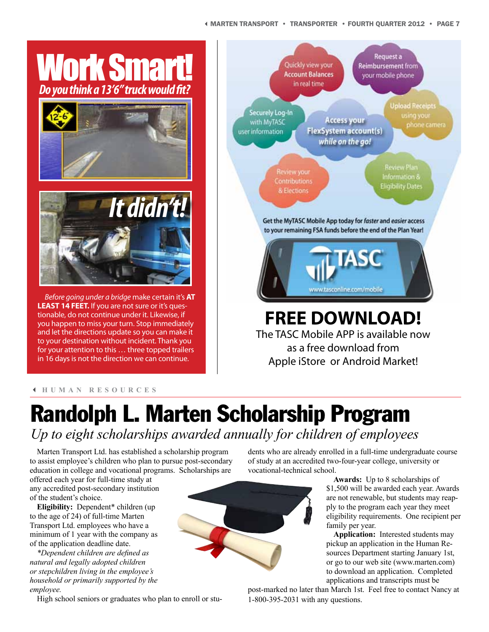#### 3MARTEN TRANSPORT • TRANSPORTER • FOURTH QUARTER 2012 • PAGE 7



tionable, do not continue under it. Likewise, if you happen to miss your turn. Stop immediately and let the directions update so you can make it to your destination without incident. Thank you for your attention to this … three topped trailers in 16 days is not the direction we can continue.



#### 3 **HUMAN RESOURCES**

## Randolph L. Marten Scholarship Program *Up to eight scholarships awarded annually for children of employees*

Marten Transport Ltd. has established a scholarship program to assist employee's children who plan to pursue post-secondary education in college and vocational programs. Scholarships are

offered each year for full-time study at any accredited post-secondary institution of the student's choice.

**Eligibility:** Dependent\* children (up to the age of 24) of full-time Marten Transport Ltd. employees who have a minimum of 1 year with the company as of the application deadline date.

*\*Dependent children are defined as natural and legally adopted children or stepchildren living in the employee's household or primarily supported by the employee.*

dents who are already enrolled in a full-time undergraduate course of study at an accredited two-four-year college, university or vocational-technical school.

> **Awards:** Up to 8 scholarships of \$1,500 will be awarded each year. Awards are not renewable, but students may reapply to the program each year they meet eligibility requirements. One recipient per family per year.

**Application:** Interested students may pickup an application in the Human Resources Department starting January 1st, or go to our web site (www.marten.com) to download an application. Completed applications and transcripts must be

post-marked no later than March 1st. Feel free to contact Nancy at 1-800-395-2031 with any questions.

High school seniors or graduates who plan to enroll or stu-